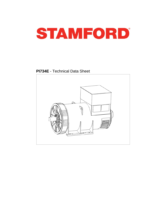

**PI734E** - Technical Data Sheet

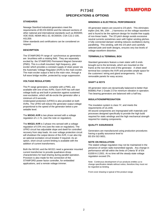## PI734E **SPECIFICATIONS & OPTIONS**



### **STANDARDS**

Newage Stamford industrial generators meet the requirements of BS EN 60034 and the relevant sections of other national and international standards such as BS5000, VDE 0530, NEMA MG1-32, IEC60034, CSA C22.2-100, AS1359.

Other standards and certifications can be considered on request.

#### **DESCRIPTION**

The STAMFORD PI range of synchronous ac generators are brushless with a rotating field. They are separately excited by the STAMFORD Permanent Magnet Generator (PMG). This is a shaft mounted, high frequency, pilot exciter which provides a constant supply of clean power via the Automatic Voltage Regulator (AVR) to the main exciter. The main exciter output is fed to the main rotor, through a full wave bridge rectifier, protected by surge suppression.

### **VOLTAGE REGULATORS**

The PI range generators, complete with a PMG, are available with one of two AVRs. Each AVR has soft start voltage build up and built in protection against sustained over-excitation, which will de-excite the generator after a minimum of 8 seconds.

Underspeed protection (UFRO) is also provided on both AVRs. The UFRO will reduce the generator output voltage proportional to the speed of the generator below a presettable level.

The **MX341 AVR** is two phase sensed with a voltage regulation of  $\pm$  1 %. (see the note on regulation).

The **MX321 AVR** is 3 phase rms sensed with a voltage regulation of 0.5% rms (see the note on regulation). The UFRO circuit has adjustable slope and dwell for controlled recovery from step loads. An over voltage protection circuit will shutdown the output device of the AVR, it can also trip an optional excitation circuit breaker if required. As an option, short circuit current limiting is available with the addition of current transformers.

Both the MX341 and the MX321 need a generator mounted current transformer to provide quadrature droop characteristics for load sharing during parallel operation. Provision is also made for the connection of the STAMFORD power factor controller, for embedded applications, and a remote voltage trimmer.

#### **WINDINGS & ELECTRICAL PERFORMANCE**

All generator stators are wound to 2/3 pitch. This eliminates triplen (3rd, 9th, 15th …) harmonics on the voltage waveform and is found to be the optimum design for trouble-free supply of non-linear loads. The 2/3 pitch design avoids excessive neutral currents sometimes seen with higher winding pitches. A fully connected damper winding reduces oscillations during paralleling. This winding, with the 2/3 pitch and carefully selected pole and tooth designs, ensures very low levels of voltage waveform distortion.

#### **TERMINALS & TERMINAL BOX**

Standard generators feature a main stator with 6 ends brought out to the terminals, which are mounted on the frame at the non-drive end of the generator. A sheet steel terminal box contains the AVR and provides ample space for the customers' wiring and gland arrangements. It has removable panels for easy access.

#### **SHAFT & KEYS**

All generator rotors are dynamically balanced to better than BS6861:Part 1 Grade 2.5 for minimum vibration in operation. Two bearing generators are balanced with a half key.

#### **INSULATION/IMPREGNATION**

The insulation system is class 'H', and meets the requirements of UL1446.

All wound components are impregnated with materials and processes designed specifically to provide the high build required for static windings and the high mechanical strength required for rotating components.

### **QUALITY ASSURANCE**

Generators are manufactured using production procedures having a quality assurance level to BS EN ISO 9001.

#### **NOTE ON REGULATION**

The stated voltage regulation may not be maintained in the presence of certain radio transmitted signals. Any change in performance will fall within the limits of Criteria 'B' of EN 61000-6-2:2001. At no time will the steady-state voltage regulation exceed 2%.

Note: Continuous development of our products entitles us to change specification details without notice, therefore they must not be regarded as binding.

Front cover drawing is typical of the product range.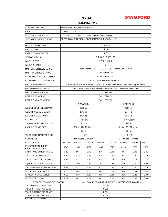

## **WINDING 312**

| <b>CONTROL SYSTEM</b>                                                           | SEPARATELY EXCITED BY P.M.G.                     |                                               |                                                                                      |                              |                                   |         |         |         |  |  |  |  |
|---------------------------------------------------------------------------------|--------------------------------------------------|-----------------------------------------------|--------------------------------------------------------------------------------------|------------------------------|-----------------------------------|---------|---------|---------|--|--|--|--|
| A.V.R.                                                                          | MX341                                            | MX321                                         |                                                                                      |                              |                                   |         |         |         |  |  |  |  |
| <b>VOLTAGE REGULATION</b>                                                       | ±1%                                              | ± 0.5%                                        |                                                                                      | With 4% ENGINE GOVERNING     |                                   |         |         |         |  |  |  |  |
| SUSTAINED SHORT CIRCUIT                                                         | REFER TO SHORT CIRCUIT DECREMENT CURVES (page 7) |                                               |                                                                                      |                              |                                   |         |         |         |  |  |  |  |
| <b>INSULATION SYSTEM</b>                                                        | <b>CLASS H</b>                                   |                                               |                                                                                      |                              |                                   |         |         |         |  |  |  |  |
| <b>PROTECTION</b>                                                               | IP <sub>23</sub>                                 |                                               |                                                                                      |                              |                                   |         |         |         |  |  |  |  |
| <b>RATED POWER FACTOR</b>                                                       | 0.8                                              |                                               |                                                                                      |                              |                                   |         |         |         |  |  |  |  |
| <b>STATOR WINDING</b>                                                           | DOUBLE LAYER LAP                                 |                                               |                                                                                      |                              |                                   |         |         |         |  |  |  |  |
| <b>WINDING PITCH</b>                                                            | <b>TWO THIRDS</b>                                |                                               |                                                                                      |                              |                                   |         |         |         |  |  |  |  |
| <b>WINDING LEADS</b>                                                            | 6                                                |                                               |                                                                                      |                              |                                   |         |         |         |  |  |  |  |
| <b>MAIN STATOR RESISTANCE</b>                                                   |                                                  | 0.00093 Ohms PER PHASE AT 22°C STAR CONNECTED |                                                                                      |                              |                                   |         |         |         |  |  |  |  |
| <b>MAIN ROTOR RESISTANCE</b>                                                    |                                                  |                                               |                                                                                      | 2.17 Ohms at 22°C            |                                   |         |         |         |  |  |  |  |
| <b>EXCITER STATOR RESISTANCE</b>                                                |                                                  |                                               |                                                                                      | 17.5 Ohms at 22°C            |                                   |         |         |         |  |  |  |  |
| <b>EXCITER ROTOR RESISTANCE</b>                                                 |                                                  |                                               |                                                                                      | 0.063 Ohms PER PHASE AT 22°C |                                   |         |         |         |  |  |  |  |
| <b>R.F.I. SUPPRESSION</b>                                                       |                                                  |                                               | BS EN 61000-6-2 & BS EN 61000-6-4, VDE 0875G, VDE 0875N, refer to factory for others |                              |                                   |         |         |         |  |  |  |  |
| <b>WAVEFORM DISTORTION</b>                                                      |                                                  |                                               | NO LOAD < 1.5% NON-DISTORTING BALANCED LINEAR LOAD < 5.0%                            |                              |                                   |         |         |         |  |  |  |  |
| <b>MAXIMUM OVERSPEED</b>                                                        |                                                  |                                               |                                                                                      | 2250 Rev/Min                 |                                   |         |         |         |  |  |  |  |
| <b>BEARING DRIVE END</b>                                                        | <b>BALL. 6228 C3</b>                             |                                               |                                                                                      |                              |                                   |         |         |         |  |  |  |  |
| BEARING NON-DRIVE END                                                           |                                                  |                                               |                                                                                      | <b>BALL. 6319 C3</b>         |                                   |         |         |         |  |  |  |  |
|                                                                                 |                                                  | 1 BEARING<br>2 BEARING                        |                                                                                      |                              |                                   |         |         |         |  |  |  |  |
| <b>WEIGHT COMP. GENERATOR</b>                                                   |                                                  |                                               | 3556 kg                                                                              |                              | 3506 kg                           |         |         |         |  |  |  |  |
| WEIGHT WOUND STATOR                                                             |                                                  |                                               | 1747 kg                                                                              |                              | 1747 kg                           |         |         |         |  |  |  |  |
| WEIGHT WOUND ROTOR                                                              |                                                  |                                               | 1494 kg                                                                              |                              | 1432 kg                           |         |         |         |  |  |  |  |
| WR <sup>2</sup> INERTIA                                                         |                                                  |                                               | 45.49 kgm <sup>2</sup>                                                               |                              | 44.4891 kgm <sup>2</sup>          |         |         |         |  |  |  |  |
| SHIPPING WEIGHTS in a crate                                                     |                                                  |                                               | 3629kg                                                                               |                              | 3575kg                            |         |         |         |  |  |  |  |
| PACKING CRATE SIZE                                                              |                                                  |                                               | 216 x 105 x 154(cm)                                                                  |                              | 216 x 105 x 154(cm)               |         |         |         |  |  |  |  |
|                                                                                 |                                                  |                                               | 50 Hz                                                                                |                              |                                   | 60 Hz   |         |         |  |  |  |  |
| TELEPHONE INTERFERENCE                                                          |                                                  |                                               | <b>THF&lt;2%</b>                                                                     |                              | <b>TIF&lt;50</b>                  |         |         |         |  |  |  |  |
| <b>COOLING AIR</b>                                                              |                                                  |                                               | 2.69 m <sup>3</sup> /sec 5700 cfm                                                    |                              | 3.45 m <sup>3</sup> /sec 7300 cfm |         |         |         |  |  |  |  |
| <b>VOLTAGE STAR</b>                                                             | 380/220                                          | 400/231                                       | 415/240                                                                              | 440/254                      | 416/240                           | 440/254 | 460/266 | 480/277 |  |  |  |  |
| <b>KVA BASE RATING FOR</b><br>REACTANCE VALUES                                  | 1845                                             | 1900                                          | 1900                                                                                 | 1865                         | 2070                              | 2210    | 2255    | 2300    |  |  |  |  |
| Xd DIR. AXIS SYNCHRONOUS                                                        | 3.18                                             | 2.96                                          | 2.75                                                                                 | 2.40                         | 3.84                              | 3.67    | 3.42    | 3.21    |  |  |  |  |
| X'd DIR. AXIS TRANSIENT                                                         | 0.19                                             | 0.18                                          | 0.17                                                                                 | 0.15                         | 0.23                              | 0.22    | 0.21    | 0.19    |  |  |  |  |
| X"d DIR. AXIS SUBTRANSIENT                                                      | 0.14                                             | 0.13                                          | 0.12                                                                                 | 0.11                         | 0.17                              | 0.16    | 0.15    | 0.14    |  |  |  |  |
| Xq QUAD. AXIS REACTANCE                                                         | 2.04<br>1.90                                     |                                               | 1.76<br>1.54                                                                         |                              | 2.47<br>2.36                      |         | 2.20    | 2.06    |  |  |  |  |
| X"q QUAD. AXIS SUBTRANSIENT                                                     | 0.29                                             | 0.27                                          | 0.25                                                                                 | 0.22                         | 0.35                              | 0.33    | 0.31    | 0.29    |  |  |  |  |
| XL LEAKAGE REACTANCE                                                            | 0.04                                             | 0.03                                          | 0.03                                                                                 | 0.03                         | 0.04                              | 0.04    | 0.04    | 0.04    |  |  |  |  |
| X <sub>2</sub> NEGATIVE SEQUENCE                                                | 0.20                                             | 0.19                                          | 0.17                                                                                 | 0.15                         | 0.24                              | 0.23    | 0.22    | 0.20    |  |  |  |  |
| X <sub>0</sub> ZERO SEQUENCE                                                    | 0.02                                             | 0.02                                          | 0.02                                                                                 | 0.02                         | 0.03                              | 0.03    | 0.03    | 0.03    |  |  |  |  |
| VALUES ARE PER UNIT AT RATING AND VOLTAGE INDICATED<br>REACTANCES ARE SATURATED |                                                  |                                               |                                                                                      |                              |                                   |         |         |         |  |  |  |  |
| T'd TRANSIENT TIME CONST.                                                       | 0.149s                                           |                                               |                                                                                      |                              |                                   |         |         |         |  |  |  |  |
| T"d SUB-TRANSTIME CONST.                                                        | 0.02s                                            |                                               |                                                                                      |                              |                                   |         |         |         |  |  |  |  |
| T'do O.C. FIELD TIME CONST.                                                     | 2.46s                                            |                                               |                                                                                      |                              |                                   |         |         |         |  |  |  |  |
| Ta ARMATURE TIME CONST.                                                         | 0.02s                                            |                                               |                                                                                      |                              |                                   |         |         |         |  |  |  |  |
| <b>SHORT CIRCUIT RATIO</b>                                                      | 1/Xd                                             |                                               |                                                                                      |                              |                                   |         |         |         |  |  |  |  |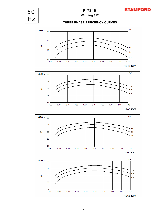

**Winding 312** PI734E

**STAMFORD** 

50





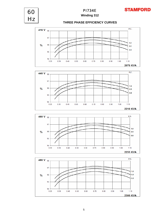

**STAMFORD** 

60





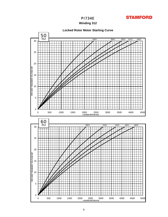

## **Winding 312**

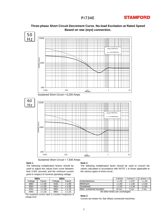# **STAMFORD**



### **Three-phase Short Circuit Decrement Curve. No-load Excitation at Rated Speed Based on star (wye) connection.**

Sustained Short Circuit = 7,500 Amps

### **Note 1**

The following multiplication factors should be used to adjust the values from curve between time 0.001 seconds and the minimum current point in respect of nominal operating voltage :

|                  | 50Hz   | 60Hz             |                   |  |  |  |  |  |
|------------------|--------|------------------|-------------------|--|--|--|--|--|
| Voltage          | Factor | Voltage          | Factor            |  |  |  |  |  |
| 380 <sub>v</sub> | x 1.00 | 416 <sub>v</sub> | x 1.00            |  |  |  |  |  |
| 400v             | x 1.05 | 440 <sub>v</sub> | x 1.06            |  |  |  |  |  |
| 415 <sub>v</sub> | x 1.09 | 460 <sub>v</sub> | $x$ 1.10          |  |  |  |  |  |
| 440 <sub>v</sub> | x 1.16 | 480 <sub>v</sub> | x <sub>1.15</sub> |  |  |  |  |  |

The sustained current value is constant irrespective of voltage level

#### **Note 2**

The following multiplication factor should be used to convert the values calculated in accordance with NOTE 1 to those applicable to the various types of short circuit :

| 50Hz<br>60Hz     |            |                  | 3-phase       | 2-phase L-L             | 1-phase L-N |        |          |
|------------------|------------|------------------|---------------|-------------------------|-------------|--------|----------|
| Voltage          | Factor     | Voltage          | Factor        | Instantaneous           | x 1.00      | x 0.87 |          |
| 380 <sub>v</sub> | .00<br>x 1 | 416v             | .00.<br>x 1   | Minimum                 | x 1.00      | x 1.80 | $x$ 3.20 |
| 400 <sub>v</sub> | .05<br>x 1 | 440 <sub>v</sub> | .06<br>x 1    | Sustained               | x 1.00      | x 1.50 | $x$ 2.50 |
| 415v             | .09<br>x ʻ | 460 <sub>v</sub> | . . 10<br>x 1 | Max, sustained duration | $10$ sec.   | 5 sec. | 2 sec.   |

All other times are unchanged

### **Note 3**

Curves are drawn for Star (Wye) connected machines.